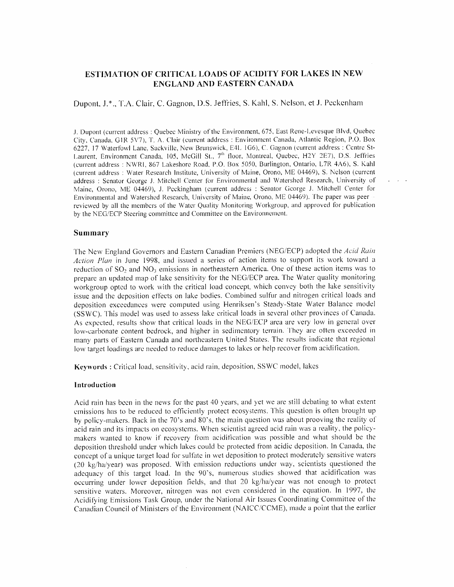# ESTIMATION OF CRITICAL LOADS OF ACIDITY FOR LAKES IN NEW ENGLAND AND EASTERN CANADA

## Dupont, J.\*., T.A. Clair, C. Gagnon, D.S. Jeffries, S. Kahl, S. Nelson, et J. Peckenham

J. Dupont (current address : Quebec Ministry of the Environment, 675, East Rene-Levesque Blvd, Quebec City, Canada, GIR 5V7), T. A. Clair (current address : Environment Canada, Atlantic Region, P.O. Box 6227, 17 Waterfowl Lane, Sackville, New Brunswick, E4L 1G6), C. Gagnon (current address : Centre St-Laurent, Environment Canada, 105, McGill St., 7<sup>th</sup> floor, Montreal, Quebec, H2Y 2E7), D.S. Jeffries (current address :NWRI, <sup>867</sup> Lakeshore Road, P.O. Box 5050, Burlington, Ontario, L7R 4A6), S. Kahl (current address : Water Research Institute, University of Maine, Orono, ME 04469), S. Nelson (current address : Senator George J. Mitchell Center for Environmental and Watershed Research, University of Maine, Orono, ME 04469), J. Peckingham (current address : Senator George J. Mitchell Center for Environmental and Watershed Research, University of Maine, Orono, ME 04469). The paper was peer reviewed by all the members of the Water Quality Monitoring Workgroup, and approved for publication by the NEG/ECP Steering committee and Committee on the Environnement.

## Summary

The New England Governors and Eastern Canadian Premiers (NEG/ECP) adopted the Acid Rain Action Plan in June 1998, and issued a series of action items to support its work toward a reduction of  $SO_2$  and  $NO_3$  emissions in northeastern America. One of these action items was to prepare an updated map of lake sensitivity for the NEG/ECP area. The Water quality monitoring workgroup opted to work with the critical load concept, which convey both the lake sensitivity issue and the deposition effects on lake bodies. Combined sulfur and nitrogen critical loads and deposition exceedances were computed using Henriksen's Steady-State Water Balance model (SSWC). This model was used to assess lake critical loads in several other provinces of Canada. As expected, results show that critical loads in the NEG/ECP area are very low in general over low-carbonate content bedrock, and higher in sedimentory terrain. They are often exceeded in many parts of Eastern Canada and northeastern United States. The results indicate that regional low target loadings are needed to reduce damages to lakes or help recover from acidification.

Keywords : Critical load, sensitivity, acid rain, deposition, SSWC model, lakes

#### Introduction

Acid rain has been in the news for the past 40 years, and yet we are still debating to what extent emissions has to be reduced to efficiently protect ecosystems. This question is often brought up by policy-makers. Back in the 70's and 80's, the main question was about prooving the reality of acid rain and its impacts on ecosystems. When scientist agreed acid rain was a reality, the policymakers wanted to know if recovery from acidification was possible and what should be the deposition threshold under which lakes could be protected from acidic deposition. In Canada, the concept of a unique target load for sulfate in wet deposition to protect moderately sensitive waters (20kg/ha/year) was proposed. With emission reductions under way, scientists questioned the adequacy of this target load. In the 90's, numerous studies showed that acidification was occurring under lower deposition fields, and that 20 kg/ha/year was not enough to protect sensitive waters. Moreover, nitrogen was not even considered in the equation. In 1997, the Acidifying Emissions Task Group, under the National Air Issues Coordinating Committee of the Canadian Council of Ministers of the Environment (NAICC/CCME), made <sup>a</sup>point that the earlier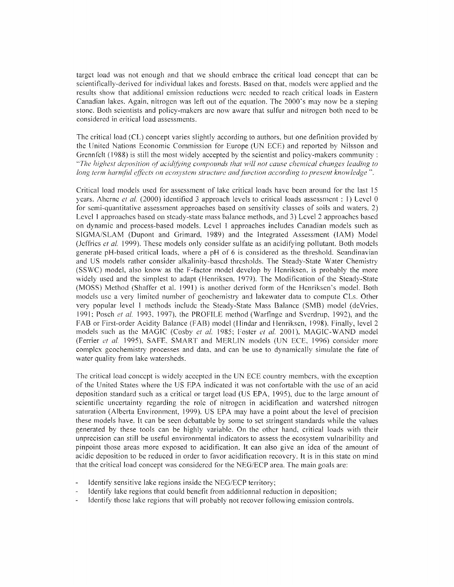target load was not enough and that we should embrace the critical load concept that can be scientifically-derived for individual lakes and forests. Based on that, models were applied and the results show that additional emission reductions were needed to reach critical loads in Eastern Canadian lakes. Again, nitrogen was left out of the equation. The 2000's may now be a steping stone. Both scientists and policy-makers are now aware that sulfur and nitrogen both need tobe considered in critical load assessments.

The critical load (CL) concept varies slightly according to authors, but one definition provided by the United Nations Economic Commission for Europe (UN ECE) and reported by Nilsson and Grennfelt (1988) is still the most widely accepted by the scientist and policy-makers community : "The highest deposition of acidifying compounds that will not cause chemical changes leading to long term harmful effects on ecosystem structure and function according to present knowledge".

Critical load models used for assessment of lake critical loads have been around for the last I5years. Aherne et al. (2000) identified 3 approach levels to critical loads assessment  $: 1$ ) Level 0 for semi-quantitative assessment approaches based on sensitivity classes of soils and waters, 2) Level 1 approaches based on steady-state mass balance methods, and 3) Level 2 approaches based ondynamic and process-based models. Level <sup>1</sup>approaches includes Canadian models such as SIGMA/SLAM (Dupont and Grimard, 1989) and the Integrated Assessment (lAM) Model (Jeffries  $et$  al. 1999). These models only consider sulfate as an acidifying pollutant. Both models generate pH-based critical loads, where a pH of  $6$  is considered as the threshold. Scandinavian and US models rather consider alkalinity-based thresholds. The Steady-State Water Chemistry (SSWC) model, also know as the F-factor model develop by Henriksen, is probably the more widely used and the simplest to adapt (Henriksen, 1979). The Modification of the Steady-State (MOSS) Method (Shaffer et al. 1991) is another derived form of the Henriksen's model. Both models use a very limited number of geochemistry and lakewater data to compute CLs. Other very popular level <sup>1</sup>methods include the Steady-State Mass Balance (5MB) model (deVries, 1991; Posch et al. 1993, 1997), the PROFILE method (Warfinge and Sverdrup, 1992), and the FAB or First-order Acidity Balance (FAB) model (Hindar and Henriksen, 1998). Finally, level <sup>2</sup> models such as the MAGIC (Cosby et al. 1985; Foster et al. 2001), MAGIC-WAND model (Ferrier et al. 1995), SAFE, SMART and MERLIN models (UN ECE, 1996) consider more complex geochemistry processes and data, and can be use to dynamically simulate the fate of water quality from lake watersheds.

The critical load concept is widely accepted in the UN ECE country members, with the exception of the United States where the US EPA indicated itwas not confortable with the use of anacid deposition standard such as a critical or target load (US EPA, 1995), due to the large amount of scientific uncertainty regarding the role of nitrogen in acidification and watershed nitrogen saturation (Alberta Environment, 1999). US EPA may have a point about the level of precision these models have. It can be seen debattable by some to set stringent standards while the values generated by these tools can be highly variable. On the other hand, critical loads with their unprecision can still be useful environmental indicators to assess the ecosystem vulnaribility and pinpoint those areas more exposed to acidification. It can also give an idea of the amount of acidic deposition to be reduced in order to favor acidification recovery. It is in this state on mind that the critical load concept was considered for the NEG/ECP area. The main goals are:

- Identify sensitive lake regions inside the NEG/ECP territory;
- Identify lake regions that could benefit from additionnal reduction in deposition;
- Identify those lake regions that will probably not recover following emission controls.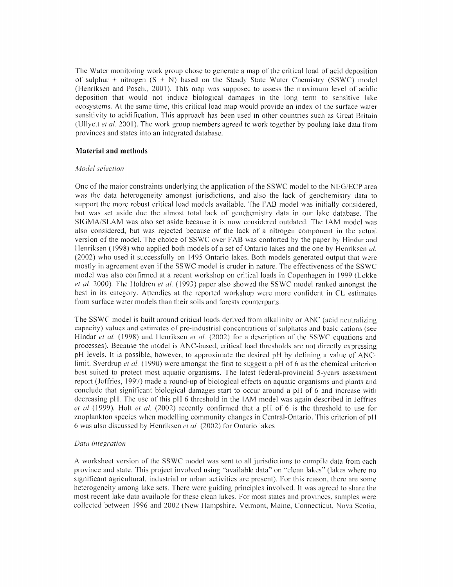The Water monitoring work group chose to generate a map of the critical load of acid deposition of sulphur + nitrogen  $(S + N)$  based on the Steady State Water Chemistry (SSWC) model (Henriksen and Posch., 2001). This map was supposed toassess the maximum level of acidic deposition that would not induce biological damages in the long term to sensitive lake ecosystems. At the same time, this critical load map would provide an index of the surface water sensitivity to acidification. This approach has been used in other countries such as Great Britain (Ullyett et al. 2001). The work group members agreed to work together by pooling lake data from provinces and states into an integrated database.

## Material and methods

#### Model selection

One of the major constraints underlying the application of the SSWC model to the NEG/ECP area was the data heterogeneity amongst jurisdictions, and also the lack of geochemistry data to support the more robust critical load models available. The FAB model was initially considered, but was set aside due the almost total lack of geochemistry data in our lake database. The SIGMA/SLAM was also set aside because it is now considered outdated. The IAM model was also considered, but was rejected because of the lack of <sup>a</sup>nitrogen component inthe actual version of the model. The choice of SSWC over FAB was conforted by the paper by Hindar and Henriksen (1998) who applied both models of a set of Ontario lakes and the one by Henriksen al. (2002) who used it successfully on 1495 Ontario lakes. Both models generated output that were mostly in agreement even if the SSWC model is cruder in nature. The effectiveness of the SSWC model was also confirmed at a recent workshop on critical loads in Copenhagen in 1999 (Lokke et al. 2000). The Hoidren et al. (1993) paper also showed the SSWC model ranked amongst the best in its category. Attendies at the reported workshop were more confident in CL estimates from surface water models than their soils and forests counterparts.

The SSWC model is built around critical loads derived from alkalinity or ANC (acid neutralizing capacity) values and estimates of pre-industrial concentrations of sulphates and basic cations (see Hindar et al. (1998) and Henriksen et al. (2002) for a description of the SSWC equations and processes). Because the model isANC-based, critical load thresholds are not directly expressing pH levels. It is possible, however, to approximate the desired pH by defining a value of ANClimit. Sverdrup *et al.* (1990) were amongst the first to suggest a pH of 6 as the chemical criterion best suited to protect most aquatic organisms. The latest federal-provincial 5-years assessment report (Jeffries, 1997) made a round-up of biological effects on aquatic organisms and plants and conclude that significant biological damages start to occur around a pH of 6 and increase with decreasing pH. The use of this pH 6 threshold in the IAM model was again described in Jeffries et al (1999). Holt et al. (2002) recently confirmed that a pH of 6 is the threshold to use for zooplankton species when modelling community changes inCentral-Ontario. This criterion of pH 6 was also discussed by Henriksen et al. (2002) for Ontario lakes

#### Data integration

A worksheet version of the SSWC model was sent to all jurisdictions to compile data from each province and state. This project involved using "available data" on "clean lakes" (lakes where no significant agricultural, industrial or urban activities are present). For this reason, there are some heterogeneity among lake sets. There were guiding principles involved. It was agreed to share the most recent lake data available for these clean lakes. For most states and provinces, samples were collected between <sup>1</sup>996 and 2002 (New Hampshire. Vermont, Maine, Connecticut, Nova Scotia,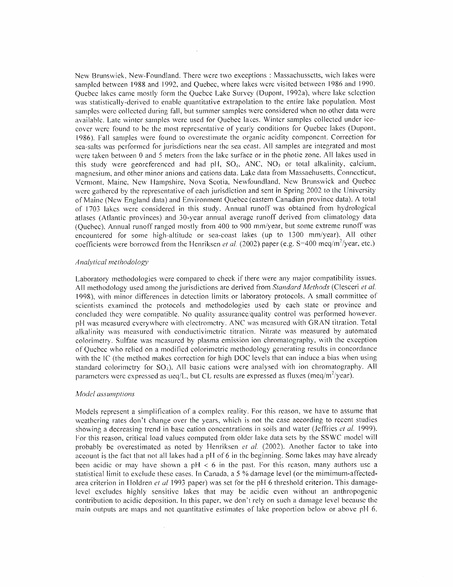New Brunswick, New-Foundland. There were two exceptions : Massachussetts, wich lakes were sampled between 1988 and 1992, and Quebec, where lakes were visited between 1986 and 1990. Quebec lakes came mostly form the Quebec Lake Survey (Dupont, 1992a). where lake selection was statistically-derived to enable quantitative extrapolation to the entire lake population. Most samples were collected during fall, but summer samples were considered when no other data were available. Late winter samples were used for Quebec lakes. Winter samples collected under ice cover were found to be the most representative of yearly conditions for Quebec lakes (Dupont, 1986). Fall samples were found to overestimate the organic acidity component. Correction for sea-salts was performed for jurisdictions near the sea coast. All samples are integrated and most were taken between 0 and 5 meters from the lake surface or in the photic zone. All lakes used in this study were georeferenced and had pH,  $SO_4$ , ANC, NO<sub>3</sub> or total alkalinity, calcium, magnesium, and other minor anions and cations data. Lake data from Massachusetts, Connecticut, Vermont, Maine, New Hampshire, Nova Scotia, Newfoundland, New Brunswick and Quebec were gathered by the representative of each jurisdiction and sent in Spring 2002 to the University of Maine (New England data) and Environment Quebce (eastern Canadian province data). A total of 1703 lakes were considered in this study. Annual runoff was obtained from hydrological atlases (Atlantic provinces) and 30-year annual average runoff derived fromclimatology data (Ouebec). Annual runoff ranged mostly from 400 to 900 mm/year, but some extreme runoff was encountered for some high-altitude or sea-coast lakes (up to<sup>1300</sup> mm/year). All other coefficients were borrowed from the Henriksen *et al.* (2002) paper (e.g.  $S=400$  meq/m<sup>2</sup>/year, etc.)

#### Analytical methodology

Laboratory methodologies were compared to check if there were any major compatibility issues. All methodology used among the jurisdictions are derived from Standard Methods (Clesceri et al. 1998), with minor differences in detection limits or laboratory protocols. A small committee of scientists examined the protocols and methodologies used by each state or province and concluded they were compatible. No quality assurance/quality control was performed however. pH was measured everywhere with electrometry. ANC was measured with GRAN titration. Total alkalinity was measured with conductivimetric titration. Nitrate was measured by automated colorimetry. Sulfate was measured by plasma emission ion chromatography, with the exception of Quebec who relied on a modified colorimetric methodology generating results in concordance with the IC (the method makes correction for high DOC levels that can induce a bias when using standard colorimetry for  $SO_4$ ). All basic cations were analysed with ion chromatography. All parameters were expressed as ueq/L, but CL results are expressed as fluxes (meq/m<sup>2</sup>/year).

## Model assumptions

Models represent a simplification of a complex reality. For this reason, we have to assume that weathering rates don't change over the years, which is not the case according to recent studies showing a decreasing trend in base cation concentrations in soils and water (Jeffries et al. 1999). For this reason, critical load values computed from older lake data sets by the SSWC model will probably be overestimated as noted by Henriksen  $et$  al. (2002). Another factor to take into account is the fact that not all lakes had a pH of 6 in the beginning. Some lakes may have already been acidic or may have shown a pH < 6 in the past. For this reason, many authors use a statistical limit to exclude these cases. In Canada, a 5 % damage level (or the mimimum-affectedarea criterion in Holdren et al 1993 paper) was set for the pH 6 threshold criterion. This damagelevel excludes highly sensitive lakes that may be acidic even without an anthropogenic contribution to acidic deposition. In this paper, we don't rely on such a damage level because the main outputs are maps and not quantitative estimates of lake proportion below or above pH6.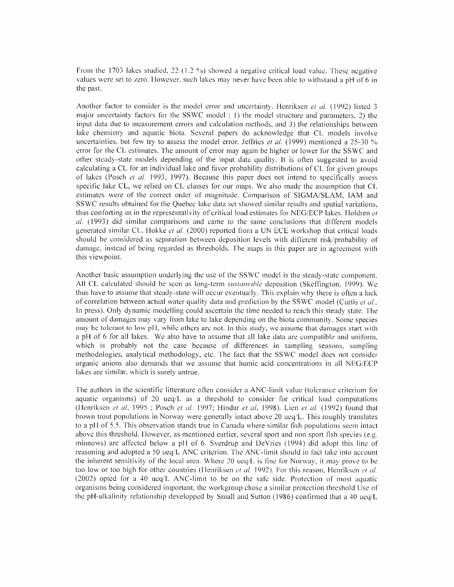From the 1703 lakes studied, 22 (1.2%) showed a negative critical load value. These negative values were set to zero. However, such lakes may never have been able to withstand a pH of 6 in the past.

Another factor to consider is the model error and uncertainty. Henriksen et al. (1992) listed 3 major uncertainty factors for the SSWC model : 1) the model structure and parameters, 2) the input data due to measurement errors and calculation methods, and 3) the relationships between lake chemistry and aquatic biota. Several papers do acknowledge that CL models involve uncertainties, but few try to assess the model error. Jeffries et al. (1999) mentioned a 25-30  $\%$ error for the CLestimates. The amount of error may again be higher or lower for the SSWC and other steady-state models depending of the input data quality. It is often suggested to avoid calculating a CL for an individual lake and favor probability distributions of CL for given groups of lakes (Posch et al. 1993, 1997). Because this paper does not intend to specifically assess specific lake CL, we relied on CL classes for our maps. We also made the assumption that CL estimates were of the correct order of magnitude. Comparison of SIGMA/SLAM, JAM and SSWC results obtained for the Quebec lake data set showed similar results and spatial variations, thus conforting us in the representativity of critical load estimates for NEG/ECP lakes. Holdren  $et$  $al.$  (1993) did similar comparisons and came to the same conclusions that different models generated similar CL. Hokke *et al.* (2000) reported from a UN ECE workshop that critical loads should be considered as separation between deposition levels with different risk/probability of damage, instead of being regarded as thresholds. The maps in this paper are in agreement with this viewpoint.

Another basic assumption underlying the use of the SSWC model is the steady-state component. All CL calculated should be seen as long-term *sustainable* deposition (Skeffington, 1999). We thus have to assume that steady-state will occur eventually. This explain why there is often a lack of correlation between actual water quality data and prediction by the SSWC model (Curtis et al., In press). Only dynamic modelling could ascertain the time needed to reach this steady state. The amount of damages may vary from lake to lake depending on the biota community. Some species may be tolerant to low pH, while others are not. In this study, we assume that damages start with a pH of 6 for all lakes. We also have to assume that all lake data are compatible and uniform, which is probably not the case because of differences in sampling seasons, sampling methodologies, analytical methodology, etc. The fact that the SSWC model does not consider organic anions also demands that we assume that humic acid concentrations in all NEG/ECP lakes are similar, which is surely untrue.

The authors inthe scientific litterature often consider aANC-limit value (tolerance criterium for aquatic organisms) of 20  $\text{ueq}/\text{L}$  as a threshold to consider for critical load computations (Henriksen et al, 1995 ; Posch et al. 1997; Hindar et al, 1998). Lien et al. (1992) found that brown trout populations in Norway were generally intact above 20 ueq/L. This roughly translates to a pH of 5.5. This observation stands true in Canada where similar fish populations seem intact above this threshold. However, as mentioned earlier, several sport and non sport fish species (e.g. minnows) are affected below a pH of 6. Sverdrup and DeVries (1994) did adopt this line of reasoning and adopted a 50 ueq/L ANC criterion. The ANC-limit should in fact take into account the inherent sensitivity of the local area. Where 20 ueq/L is fine for Norway, it may prove to be too low or too high for other countries (Henriksen et al. 1992). For this reason, Henriksen et al.  $(2002)$  opted for a 40 ueq/L ANC-limit to be on the safe side. Protection of most aquatic organisms being considered important, the workgroup chose <sup>a</sup>similar protection threshold Use of the pH-alkalinity relationship developped by Small and Sutton (1986) confirmed that a 40 ueq/L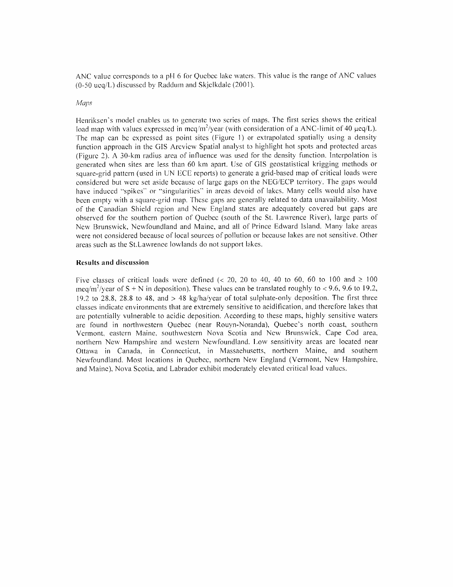ANC value corresponds to a pH $6$  for Quebec lake waters. This value is the range of ANC values  $(0-50 \text{ u} \text{eq}/L)$  discussed by Raddum and Skjelkdale (2001).

### Maps

Henriksen's model enables us to generate two series of maps. The first series shows the critical load map with values expressed in meq/m<sup>2</sup>/year (with consideration of a ANC-limit of 40  $\mu$ eq/L). The map can be expressed as point sites (Figure 1) or extrapolated spatially using a density function approach in the GIS Arcview Spatial analyst to highlight hot spots and protected areas (Figure 2). <sup>A</sup>30-km radius area of influence was used for the density function. Interpolation is generated when sites are less than 60kmapart Use ofG1S geostatistical krigging methods or square-grid pattern (used in UN ECE reports) to generate a grid-based map of critical loads were considered but were set aside because of large gaps on the NEG/ECP territory. The gaps would have induced "spikes" or "singularities" in areas devoid of lakes. Many cells would also have been empty with a square-grid map. These gaps are generally related to data unavailability. Most of the Canadian Shield region and New England states are adequately covered but gaps are observed for the southern portion of Quebec (south of the St. Lawrence River), large parts of New Brunswick, Newfoundland and Maine, and all of Prince Edward Island. Many lake areas were not considered because of local sources of pollution or bccause lakes are not sensitive. Other areas such as the St.Lawrence lowlands do not support lakes.

#### Results and discussion

Five classes of critical loads were defined (< 20, 20 to 40, 40 to 60, 60 to 100 and  $\geq$  100 meq/m<sup>2</sup>/year of S + N in deposition). These values can be translated roughly to < 9.6, 9.6 to 19.2, 19.2 to 28.8, 28.8 to 48, and  $>48$  kg/ha/year of total sulphate-only deposition. The first three classes indicate environments that are extremely sensitive to acidification, and therefore lakes that are potentially vulnerable to acidic deposition. According to these maps, highly sensitive waters are found in northwestern Quebec (near Rouyn-Noranda), Quebec's north coast, southern Vermont, eastern Maine, southwestern Nova Scotia and New Brunswick, Cape Cod area, northern New Hampshire and western Newfoundland. Low sensitivity areas are located near Ottawa in Canada, in Connecticut, in Massachusetts, northern Maine, and southern Newfoundland. Most locations in Quebec, northern New England (Vermont, New Hampshire, and Maine), Nova Scotia, and Labrador exhibit moderately elevated critical load values.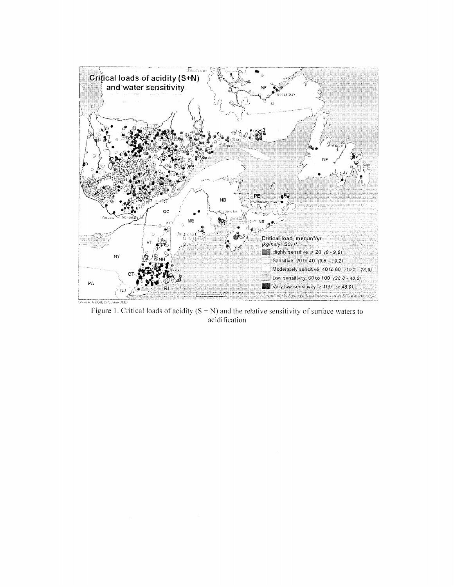

Figure 1. Critical loads of acidity  $(S + N)$  and the relative sensitivity of surface waters to acidification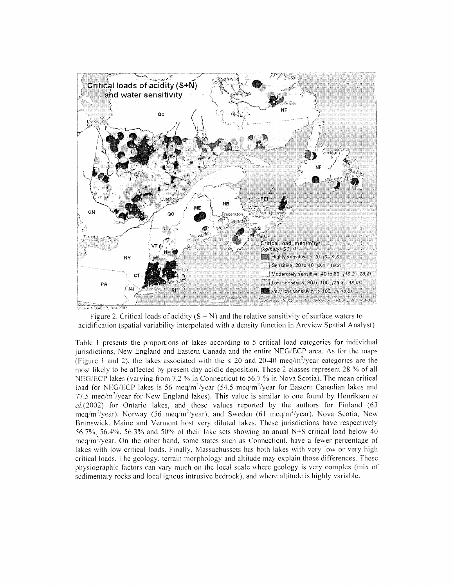

Figure 2. Critical loads of acidity  $(S + N)$  and the relative sensitivity of surface waters to acidification (spatial variability interpolated with a density function in Arcview Spatial Analyst)

Table 1 presents the proportions of lakes according to 5 critical load categories for individual jurisdictions, New England and Eastern Canada and the entire NEG/ECP area. As for the maps (Figure 1 and 2), the lakes associated with the  $\leq 20$  and 20-40 meg/m<sup>2</sup>/year categories are the t likely to be affected by present day acidic deposition. These 2 classes represent 28 % of all NEG/ECP lakes (varying from 7.2  $%$  in Connecticut to 56.7  $%$  in Nova Scotia). The mean critical load for NEG/ECP lakes is 56 meq/m<sup>2</sup>/year (54.5 meq/m<sup>2</sup>/year for Eastern Canadian lakes and 77.5 meq/m<sup>2</sup>/year for New England lakes). This value is similar to one found by Henriksen *et*  $al(2002)$  for Ontario lakes, and those values reported by the authors for Finland (63) meq/m<sup>2</sup>/year). Norway (56 meq/m<sup>2</sup>/year). and Sweden (61 meq/m<sup>2</sup>/year). Nova Scotia. New Brunswick, Maine and Vermont host very diluted lakes. These jurisdictions have respectively 56.7%, 56.4%, 56.3% and 50% of their lake sets showing an anual N+S critical load below 40  $\eta/m^2$ /year. On the other hand, some states such as Connecticut, have a fewer percentage of lakes with low critical loads. Finally, Massachussets has both lakes with very low or very high critical loads. The gcology, terrain morphology and altitude may explain those differences. These physiographic factors can vary much on the local scale where geology is very complex (mix of sedimentary rocks and local ignous intrusive bedrock), and where altitude is highly variable.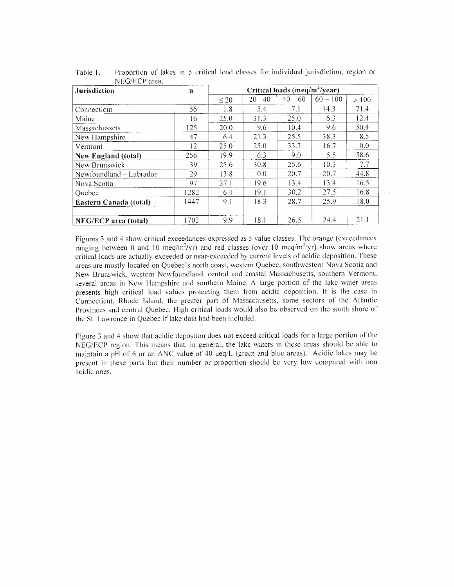| Jurisdiction                | $\mathbf n$ |           |           | Critical loads (meq/m <sup>2</sup> /year) |            |      |
|-----------------------------|-------------|-----------|-----------|-------------------------------------------|------------|------|
|                             |             | $\leq 20$ | $20 - 40$ | $40 - 60$                                 | $60 - 100$ | >100 |
| Connecticut                 | 56          | 1.8       | 5.4       | 7.1                                       | 14.3       | 71.4 |
| Maine                       | 16          | 25.0      | 31.3      | 25.0                                      | 6.3        | 12.4 |
| Massachussets               | 125         | 20.0      | 9.6       | 10.4                                      | 9.6        | 50.4 |
| New Hampshire               | 47          | 6.4       | 21.3      | 25.5                                      | 38.3       | 8.5  |
| Vermont                     | 12          | 25.0      | 25.0      | 33.3                                      | 16.7       | 0.0  |
| <b>New England (total)</b>  | 256         | 19.9      | 6.3       | 9.0                                       | 5.5        | 58.6 |
| New Brunswick               | 39          | 25.6      | 30.8      | 25.6                                      | 10.3       | 7.7  |
| Newfoundland - Labrador     | 29          | 13.8      | 0.0       | 20.7                                      | 20.7       | 44.8 |
| Nova Scotia                 | 97          | 37.1      | 19.6      | 13.4                                      | 13.4       | 16.5 |
| Quebec                      | 1282        | 6.4       | 19.1      | 30.2                                      | 27.5       | 16.8 |
| Eastern Canada (total)      | 1447        | 9.1       | 18.3      | 28.7                                      | 25.9       | 18.0 |
|                             |             |           |           |                                           |            |      |
| <b>NEG/ECP</b> area (total) | 1703        | 9.9       | 18.1      | 26.5                                      | 24.4       | 21.1 |

Table 1. Proportion of lakes in 5 critical load classes for individual jurisdiction, region or NEG/ECP area.

Figures 3 and 4 show critical exceedances expressed as 5 value classes. The orange (exceedances ranging between 0 and 10 meq/m<sup>2</sup>/yr) and red classes (over 10 meq/m<sup>2</sup>/yr) show areas where critical loads are actually exceeded or near-exceeded by current levels of acidic deposition. These areas are mostly located on Quebec's north coast, western Quebec, southwestern Nova Scotia and New Brunswick, western Newfoundland, central and coastal Massachusetts, southern Vermont, several areas in New Hampshire and southern Maine. A large portion of the lake water areas presents high critical load values protecting them from acidic deposition. It is the case in Connecticut, Rhode Island, the greater part of Massachusetts, some sectors of the Atlantic Provinces and central Quebec. High critical loads would also be observed onthe south shore of the St. Lawrence in Quebec if lake data had been included.

Figure <sup>3</sup>and <sup>4</sup>show that acidic depostion does not exceed critical loads for <sup>a</sup>large portion of the NEG/ECP region. This means that, in general, the lake waters in these areas should be able to maintain a pH of 6 or an ANC value of 40  $\text{ueq/L}$  (green and blue areas). Acidic lakes may be present in these parts but their number or proportion should be very low compared with non acidic ones.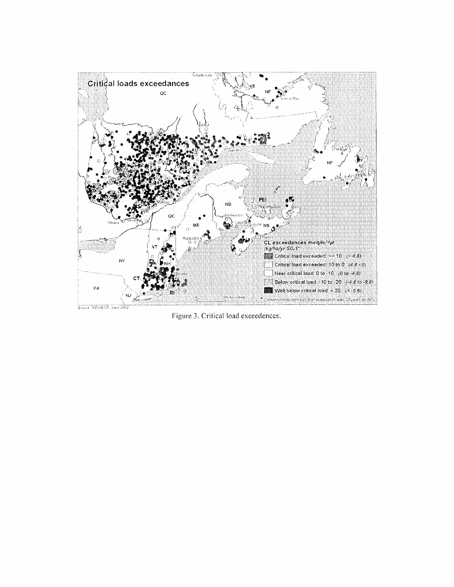

Figure 3. Critical load exceedences.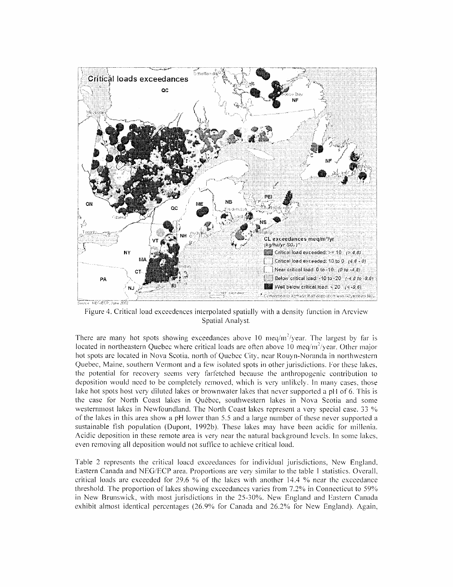

There are many hot spots showing exceedances above 10 meq/m<sup>2</sup>/year. The largest by far is located in northeastern Quebec where critical loads are often above 10  $\text{mea/m}^2/\text{year}$ . Other major hot spots are located in Nova Scotia, north of Quebec City, near Rouyn-Noranda in northwestern Quebec, Maine, southern Vermont and a few isolated spots in other jurisdictions. For these lakes, the potential for recovery seems very farfetched because the anthropogenic contribution to deposition would need to be completely removed, which is very unlikely. In many cases, those lake hot spots host very diluted lakes or brownwater lakes that never supported a pH of 6. This is the case for North Coast lakes in Québec, southwestern lakes in Nova Scotia and some westernmost lakes in Newfoundland. The North Coast lakes represent a very special case. 33  $\%$ of the lakes in this area show a pH lower than 5.5 and a large number of these never supported a sustainable fish population (Dupont, 1992b). These lakes may have been acidic for millenia. Acidic deposition in these remote area is very near the natural background levels. In some lakes, even removing all deposition would not suffice to achieve critical load. extrainant of the spatial percent in Arcview Spatial Analyst.<br>
Spatial Analyst.<br>
Spatial Analyst.<br>
The largest by far is<br>
d in northeastern Quebec where critical loads are often above 10 meq/m<sup>3</sup>/year. Other major<br>
of the

Table 2 represents the critical loacd exceedances for individual jurisdictions, New England, Eastern Canada and NEG/ECP area. Proportions are very similar to the table 1 statistics. Overall, critical loads are exceeded for  $29.6\%$  of the lakes with another 14.4 % near the exceedance threshold. The proportion of lakes showing exceedances varies from  $7.2\%$  in Connecticut to  $59\%$ in New Brunswick, with most jurisdictions in the 25-30%. New England and Eastern Canada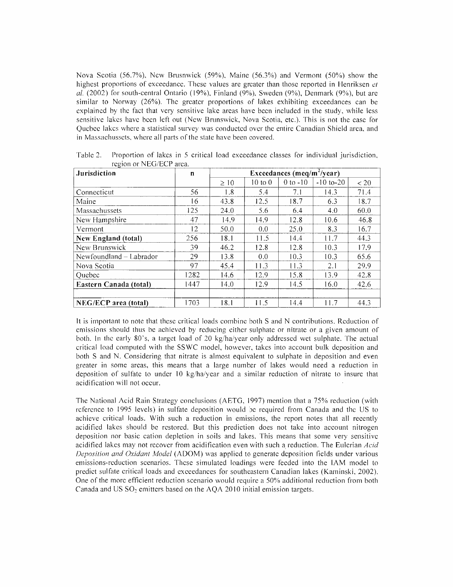Nova Scotia (56.7%), New Brusnwick (59%), Maine (56.3%) and Vermont (50%) show the highest proportions of exceedance. These values are greater than those reported in Henriksen  $et$ al.  $(2002)$  for south-central Ontario (19%), Finland (9%), Sweden (9%), Denmark (9%), but are similar to Norway  $(26%)$ . The greater proportions of lakes exhibiting exceedances can be explained by the fact that very sensitive lake areas have been included in the study, while less sensitive lakes have been left out (New Brunswick, Nova Scotia, etc.). This is not the case for Quebec lakes where <sup>a</sup>statistical survey was conducted over the entire Canadian Shield area, and in Massachussets, where all parts of the state have been covered.

| <b>Jurisdiction</b>         | $\mathbf{n}$ | Exceedances (meq/m <sup>2</sup> /year) |             |              |                |      |  |  |
|-----------------------------|--------------|----------------------------------------|-------------|--------------|----------------|------|--|--|
|                             |              | $\geq 10$                              | $10$ to $0$ | $0$ to $-10$ | $-10$ to $-20$ | < 20 |  |  |
| Connecticut                 | 56           | 1.8                                    | 5.4         | 7.1          | 14.3           | 71.4 |  |  |
| Maine                       | 16           | 43.8                                   | 12.5        | 18.7         | 6.3            | 18.7 |  |  |
| Massachussets               | 125          | 24.0                                   | 5.6         | 6.4          | 4.0            | 60.0 |  |  |
| New Hampshire               | 47           | 14.9                                   | 14.9        | 12.8         | 10.6           | 46.8 |  |  |
| Vermont                     | 12           | 50.0                                   | 0.0         | 25.0         | 8.3            | 16.7 |  |  |
| New England (total)         | 256          | 18.1                                   | 11.5        | 14.4         | 11.7           | 44.3 |  |  |
| New Brunswick               | 39           | 46.2                                   | 12.8        | 12.8         | 10.3           | 17.9 |  |  |
| $Newfoundland - Laboratory$ | 29           | 13.8                                   | 0.0         | 10.3         | 10.3           | 65.6 |  |  |
| Nova Scotia                 | 97           | 45.4                                   | 11.3        | 11.3         | 2.1            | 29.9 |  |  |
| Quebec                      | 1282         | 14.6                                   | 12.9        | 15.8         | 13.9           | 42.8 |  |  |
| Eastern Canada (total)      | 1447         | 14.0                                   | 12.9        | 14.5         | 16.0           | 42.6 |  |  |
| <b>NEG/ECP</b> area (total) | 1703         | 18.1                                   | 11.5        | 14.4         | 11.7           | 44.3 |  |  |

Table 2. Proportion of lakes in 5 critical load exceedance classes for individual jurisdiction, region or NEG/ECP area.

It is important to note that these critical loads combine both S and N contributions. Reduction of emissions should thus be achieved by reducing either sulphate or nitrate or a given amount of both. In the early 80's, a target load of 20 kg/ha/year only addressed wet sulphate. The actual critical load computed with the SSWC model, however, takes into account bulk deposition and both S and N. Considering that nitrate is almost equivalent to sulphate in deposition and even greater in some areas, this means that a large number of lakes would need a reduction in deposition of sulfate to under 10 kg/ha/year and a similar reduction of nitrate to insure that acidification will not occur.

The National Acid Rain Strategy conclusions (AETG, 1997) mention that <sup>a</sup>75% reduction (with reference to 1995 levels) in sulfate deposition would be required from Canada and the US to achieve critical loads. With such a reduction in emissions, the report notes that all recently acidified lakes should be restored. But this prediction does not take into account nitrogen deposition nor basic cation depletion in soils and lakes. This means that some very sensitive acidified lakes may not recover from acidification even with such a reduction. The Eulerian Acid Deposition and Oxidant Model (ADOM) was applied to generate deposition fields under various emissions-reduction scenarios. These simulated loadings were feeded into the JAM model to predict sulfate critical loads and exceedances for southeastern Canadian lakes (Kaminski, 2002). One of the more efficient reduction scenario would require a 50% additional reduction from both Canada and US  $SO_2$  emitters based on the AQA 2010 initial emission targets.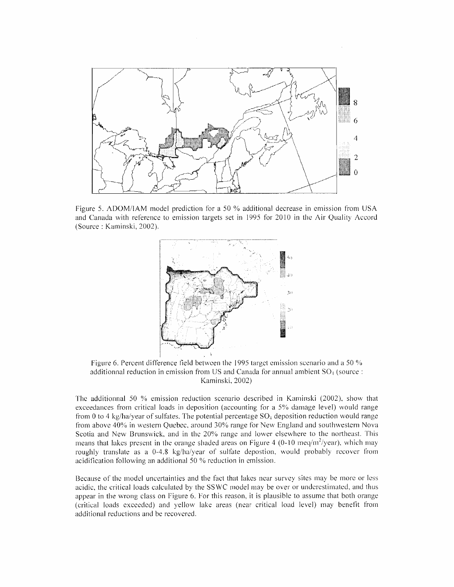

Figure 5. ADOM/IAM model prediction for a 50 % additional decrease in emission from USA and Canada with reference to emission targets set in 1995 for 2010 in the Air Quality Accord (Source : Kaminski, 2002).



additionnal reduction in emission from US and Canada for annual ambient  $SO<sub>4</sub>$  (source: Kaminski, 2002)

The additionnal 50 % emission reduction scenario described in Kaminski (2002), show that exceedances from critical loads in deposition (accounting for a  $5%$  damage level) would range from 0 to 4 kg/ha/year of sulfates. The potential percentage  $SO_4$  deposition reduction would range from above 40% in western Quebec, around 30% range for New England and southwestern Nova Scotia and New Brunswick, and in the 20% range and lower elsewhere to the northeast. This means that lakes present in the orange shaded areas on Figure 4 (0-10 meq/m<sup>2</sup>/year), which may roughly translate as a  $0-4.8$  kg/ha/year of sulfate depostion, would probably recover from a following an additional 50 % reduction in emission.

Because of the model uncertainties and the fact that lakes near survey sites may be more or less acidic, the critical loads calculated by the SSWC model may be over or underestimated, and thus appear in the wrong class on Figure 6. For this reason, it is plausible to assume that both orange (critical loads exceeded) and yellow lake areas (near critical load level) may benefit from additional reductions and be recovered.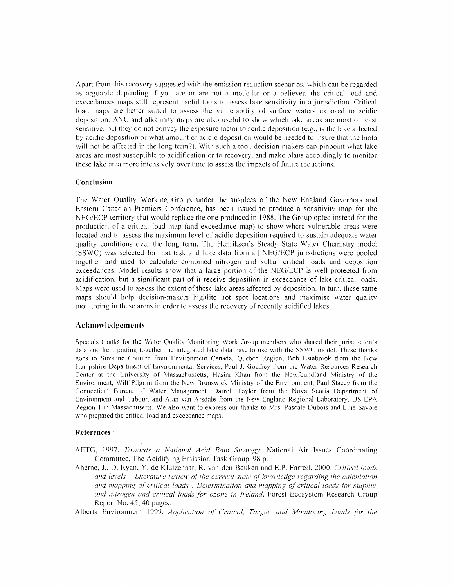Apart from this recovery suggested with the emission reduction scenarios, which can be regarded as arguable depending if you are or are not a modeller or a believer, the critical load and exceedances maps still represent useful tools to assess lake sensitivity in a jurisdiction. Critical load maps are better suited to assess the vulnerability of surface waters exposed to acidic deposition. ANC and alkalinity maps are also useful to show which lake areas are most or least sensitive, but they do not convey the exposure factor to acidic deposition (e.g., is the lake affected by acidic deposition or what amount of acidic deposition would be needed to insure that the biota will not be affected in the long term?). With such a tool, decision-makers can pinpoint what lake areas are most susceptible to acidification or to recovery, and make plans accordingly to monitor these lake area more intensively over time to assess the impacts of future reductions.

## Conclusion

The Water Quality Working Group, under the auspices of the New England Governors and Eastern Canadian Premiers Conference, has been issued to produce a sensitivity map for the NEG/ECP territory that would replace the one produced in1988. The Group opted instead for the production of <sup>a</sup>critical load map (and exceedance map) toshow where vulnerable areas were located and to assess the maximum level of acidic deposition required to sustain adequate water quality conditions over the long term. The Henriksen's Steady State Water Chemistry model (SSWC) was selected for that task and lake data from all NEG/ECP jurisdictions were pooled together and used tocalculate combined nitrogen and sulfur critical loads and deposition exceedances. Model results show that a large portion of the NEG/ECP is well protected from acidification, but a significant part of it receive deposition in exceedance of lake critical loads. Maps were used to assess the extent of these lake areas affected by deposition. In turn, these same maps should help decision-makers highlite hot spot locations and maximise water quality monitoring in these areas in order to assess the recovery of recently acidified lakes.

## Acknowledgements

Specials thanks for the Water Quality Monitoring Work Group members who shared their jurisdiction's data and help putting together the integrated lake data base to use with the SSWC model. These thanks goes to Suzanne Couture from Environment Canada, Quebec Region, Bob Estabrook from the New Hampshire Department of Environmental Services, Paul J. Godfrey fromthe Water Resources Research Center at the University of Massachussetts, Hasim Khan from the Newfoundland Ministry of the Environment, Wilf Pilgrim from the New Brunswick Ministry of the Environment, Paul Stacey from the Connecticut Bureau of Water Management, Darrell Taylor from the Nova Scotia Department of Environment and Labour, and Alan van Arsdale from the New England Regional Laboratory, US EPA Region 1 in Massachusetts. We also want to express our thanks to Mrs. Pascale Dubois and Line Savoie who prepared the critical load and exceedance maps.

## References

- AETG, 1997. Towards a National Acid Rain Strategy. National Air Issues Coordinating Committee, The Acidifying Emission Task Group, 98 p.
- Aherne, J., D. Ryan, Y. de Kluizenaar, R. van den Beuken and E.P. Farrell. 2000. Critical loads d levels – Literature review of the current state of knowledge regarding the calculation and mapping of critical loads : Determination and mapping of critical loads for sulphur and nitrogen and critical loads for ozone in Ireland. Forest Ecosystem Research Group Report No. 45, 40 pages.

Alberta Environment 1999. Application of Critical, Target, and Monitoring Loads for the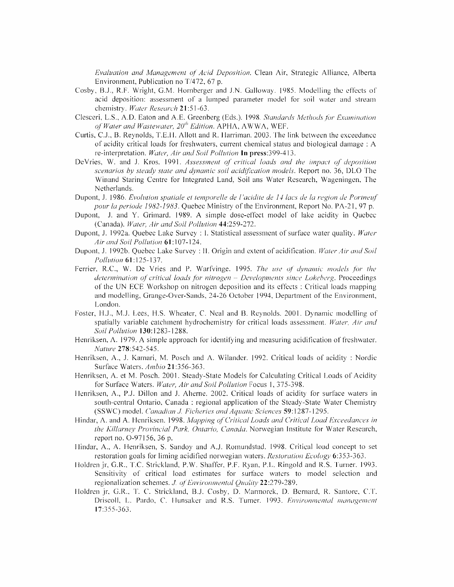Evaluation and Management of Acid Deposition. Clean Air, Strategic Alliance, Alberta Environment, Publication no T/472, 67 p.

- Cosby, B.J., R.F. Wright, G.M. Hornberger and J.N. Galloway. 1985. Modelling the effects of acid deposition: assessment of a lumped parameter model for soil water and stream chemistry. Water Research 21:51-63.
- , L.S., A.D. Eaton and A.E. Greenberg (Eds.). 1998. Standards Methods for Examination of Water and Wastewater,  $20^{th}$  Edition. APHA, AWWA, WEF.
- Curtis, C.J., B. Reynolds, T.E.H. Allott and R. Harriman. 2003. The link between the exceedance of acidity critical loads for freshwaters, current chemical status and biological damage : A re-interpretation. Water, Air and Soil Pollution In press:399-413.
- DeVries, W. and J. Kros. 1991. Assessment of critical loads and the impact of deposition scenarios by steady state and dynamic soil acidification models. Report no. 36, DLO The Winand Staring Centre for Integrated Land, Soil ans Water Research, Wageningen, The Netherlands.
- Dupont, J. 1986. Evolution spatiale et temporelle de l'acidite de 14 lacs de la region de Portneuf pour la periode 1982-1983. Quebec Ministry of the Environment, Report No. PA-21, 97 p.
- Dupont, J. and Y. Grimard. 1989. A simple dose-effect model of lake acidity in Quebec (Canada). Water, Air and Soil Pollution 44:259-272.
- Dupont, J. 1992a. Quebec Lake Survey : I. Statistical assessment of surface water quality. Water Air and Soil Pollution 61:107-124.
- Dupont, J. 1992b. Quebec Lake Survey : II. Origin and extent of acidification. Water Air and Soil Pollution 61:125-137.
- Ferrier, R.C., W. De Vries and P. Warfvinge. 1995. The use of dynamic models for the determination of critical solutions of critical and critical loads for nitrogen of critical loads for nitrogen of the UN ECE Workshop on nitrogen deposition and its effects : Critical loads mapping and modelling, Grange-Over-Sands, 24-26 October 1994, Department of the Environment, London.
- Foster, H.J., M.J. Lees, H.S. Wheater, C. Neal and B. Reynolds. 2001. Dynamic modelling of spatially variable catchment hydrochemistry for critical loads assessment. Water, Air and .Soil.Pollution 130:1283-1288.
- Henriksen,  $\Lambda$ . 1979. A simple approach for identifying and measuring acidification of freshwater. Nature 278:542-545.
- Henriksen, A., J. Kamari, M. Posch and A. Wilander. 1992. Critical loads of acidity : Nordic Surface Waters. Ambio 21:356-363.
- Henriksen, A. et M. Posch. 2001. Steady-State Models for Calculating Critical Loads of Acidity for Surface Waters. Water, Air and Soil Pollution Focus 1, 375-398.
- Henriksen, A., PJ. Dillon and J. Aherne. 2002. Critical loads of acidity for surface waters in south-central Ontario, Canada : regional application of the Steady-State Water Chemistry (SSWC) model. Canadian J. Ficheries and Aquatic Sciences 59:1287-1295.
- Hindar, A. and A. Henriksen. 1998. Mapping of Critical Loads and Critical Load Exceedances in the Killarney Provincial Park, Ontario, Canada. Norwegian Institute for Water Research, report no. O-97156, 36 p.
- Hindar, A., A. Henriksen, S. Sandoy and A.J. Romundstad. 1998. Critical load concept to set restoration goals for liming acidified norwegian waters. Restoration Ecology 6:353-363.
- Holdren jr, G.R., T.C. Strickland, P.W. Shaffer, P.F. Ryan, P.L. Ringold and R.S. Turner. 1993. Sensitivity of critical load estimates for surface waters to model selection and regionalization schemes. J. of Environmental Quality 22:279-289.
- Holdren jr, G.R., T. C. Strickland, B.J. Cosby, D. Marmorek, D. Bernard, R. Santore, C.T. Driscoll, L. Pardo, C. Hunsaker and R.S. Turner. 1993. Environmental management 17:355-363. 17:355-363.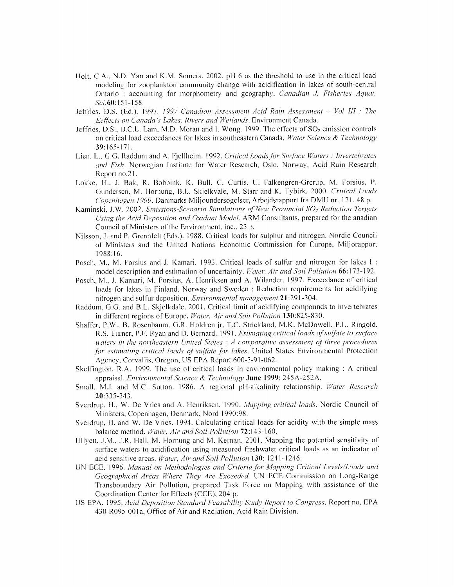- Holt, C.A., N.D. Yan and K.M. Somers. 2002. pH 6 as the threshold to use in the critical load modeling for zooplankton community change with acidification inlakes of south-central Ontario : accounting for morphometry and geography. Canadian J. Fisheries Aquat. Sci. 60:151-158.
- , D.S. (Ed.). 1997. 1997 Canadian Assessment Acid Rain Assessment Vol III : The Eeffects on Canada's Lakes, Rivers and Wetlands. Environment Canada.
- Jeffries, D.S., D.C.L. Lam, M.D. Moran and I. Wong. 1999. The effects of  $SO<sub>2</sub>$  emission controls on critical load exceedances for lakes in southcastern Canada. Water Science & Technology 39:165-171.
- Lien, L., G.G. Raddum and A. Fjellheim. 1992. Critical Loads for Surface Waters : Invertebrates and Fish. Norwegian Institute for Water Research, Oslo, Norway, Acid Rain Research Report no.2 1.
- Lokke, H., J. Bak, R. Bobbink, K. Bull, C. Curtis, U. Falkengren-Grerup, M. Forsius, P. Gundersen. M. Hornung, B.L. Skjelkvale, M. Starr and K. Tybirk. 2000. Critical Loads Copenhagen 1999. Danmarks Miljoundersogelser, Arbejdsrapport fra DMU nr. 121, 48 p.
- i, J.W. 2002. Emissions-Scenario Simulations of New Provincial SO<sub>2</sub> Reduction Tergets Using the Acid Deposition and Oxidant Model. ARM Consultants, prepared for the anadian Council of Ministers of the Environment, inc., 23 p.
- Nilsson, J. and P. Grennfelt (Eds.). 1988. Critical loads for sulphur and nitrogen. Nordic Council of Ministers and the United Nations Economic Commission for Europe, Miljorapport 1988: 16.
- Posch, M., M. Forsius and J. Kamari. 1993. Critical loads of sulfur and nitrogen for lakes I: model description and estimation of uncertainty. Water, Air and Soil Pollution 66:173-192.
- Posch, M., J. Kamari, M. Forsius, A. Henriksen and A. Wilander. 1997. Exceedance of critical loads for lakes in Finland, Norway and Sweden : Reduction requirements for acidifying nitrogen and sulfur deposition. Environmental management 21:291-304.
- Raddum, G.G. and B.L. Skjelkdale. 2001. Critical limit of acidifying compounds to invertebrates in different regions of Europe. Water, Air and Soil Pollution 130:825-830.
- Shaffer, P.W., B. Rosenhaurn, G.R. Holdren jr, T.C. Strickland, M.K. McDowell, P.L. Ringold. R.S. Turner, P.F. Ryan and D. Bernard. 1991. Estimating critical loads of sulfate to surface waters in the northeastern United States  $: A$  comparative assessment of three procedures for estimating critical loads of sulfate for lakes. United States Environmental Protection Agency, Corvallis, Oregon, US EPA Report 600-3-91-062.
- Skeffington, R.A. 1999. The use of critical loads in environmental policy making : A critical appraisal. Environmental Science & Technology June 1999: 245A-252A.
- Small, M.J. and M.C. Sutton. 1986. A regional pH-alkalinity relationship. Water Research 20:33 5-343.
- Sverdrup, H., W. De Vries and A. Henriksen. 1990. Mapping critical loads. Nordic Council of Ministers, Copenhagen, Denmark, Nord 1990:98.
- Sverdrup, H. and W. De Vries. 1994. Calculating critical loads for acidity with the simple mass balance method. Water, Air and Soil Pollution 72:143-160.
- Ullyett, J.M., JR. Hall, M. Hornung and M. Kernan. 2001. Mapping the potential sensitivity of surface waters to acidification using measured freshwater critical loads as an indicator of acid sensitive areas. Water, Air and Soil Pollution 130: 1241-1246.
- UN ECE. 1996. Manual on Methodologies and Criteria for Mapping Critical Levels/Loads and Geographical Areas Where They Are Exceeded. UN ECE Commission on Long-Range Transboundary Air Pollution, prepared Task Force on Mapping with assistance of the Coordination Center for Effects (CCE), 204 p.
- US EPA. 1995. Acid Deposition Standard Feasability Study Report to Congress. Report no. EPA 430-R095-OOla, Office of Air and Radiation, Acid Rain Division.